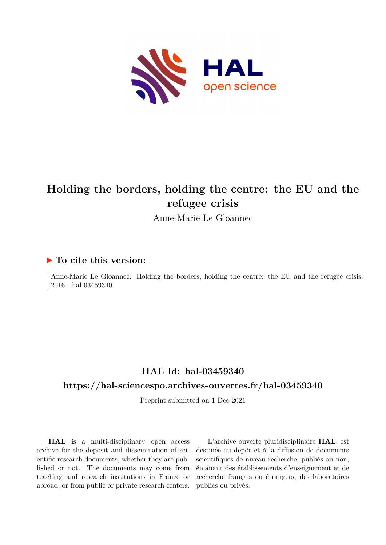

## **Holding the borders, holding the centre: the EU and the refugee crisis**

Anne-Marie Le Gloannec

## **To cite this version:**

Anne-Marie Le Gloannec. Holding the borders, holding the centre: the EU and the refugee crisis. 2016. hal-03459340

## **HAL Id: hal-03459340**

## **<https://hal-sciencespo.archives-ouvertes.fr/hal-03459340>**

Preprint submitted on 1 Dec 2021

**HAL** is a multi-disciplinary open access archive for the deposit and dissemination of scientific research documents, whether they are published or not. The documents may come from teaching and research institutions in France or abroad, or from public or private research centers.

L'archive ouverte pluridisciplinaire **HAL**, est destinée au dépôt et à la diffusion de documents scientifiques de niveau recherche, publiés ou non, émanant des établissements d'enseignement et de recherche français ou étrangers, des laboratoires publics ou privés.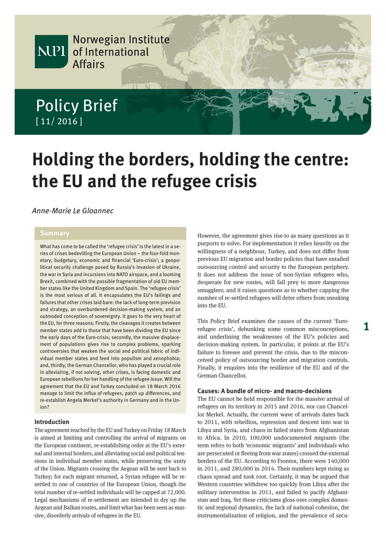

# **Holding the borders, holding the centre: the EU and the refugee crisis**

### Anne-Marie Le Gloannec

#### **Summary**

What has come to be called the 'refugee crisis' is the latest in a series of crises bedevilling the European Union – the four-fold monetary, budgetary, economic and financial 'Euro-crisis'; a geopolitical security challenge posed by Russia's invasion of Ukraine, the war in Syria and incursions into NATO airspace, and a looming Brexit, combined with the possible fragmentation of old EU member states like the United Kingdom and Spain. The 'refugee crisis' is the most serious of all. It encapsulates the EU's failings and failures that other crises laid bare: the lack of long-term prevision and strategy, an overburdened decision-making system, and an outmoded conception of sovereignty. It goes to the very heart of the EU, for three reasons: Firstly, the cleavages it creates between member states add to those that have been dividing the EU since the early days of the Euro-crisis; secondly, the massive displacement of populations gives rise to complex problems, sparking controversies that weaken the social and political fabric of individual member states and feed into populism and xenophobia; and, thirdly, the German Chancellor, who has played a crucial role in alleviating, if not solving, other crises, is facing domestic and European rebellions for her handling of the refugee issue. Will the agreement that the EU and Turkey concluded on 18 March 2016 manage to limit the influx of refugees, patch up differences, and re-establish Angela Merkel's authority in Germany and in the Union?

#### **Introduction**

The agreement reached by the EU and Turkey on Friday 18 March is aimed at limiting and controlling the arrival of migrants on the European continent, re-establishing order at the EU's external and internal borders, and alleviating social and political tensions in individual member states, while preserving the unity of the Union. Migrants crossing the Aegean will be sent back to Turkey; for each migrant returned, a Syrian refugee will be resettled to one of countries of the European Union, though the total number of re-settled individuals will be capped at 72,000. Legal mechanisms of re-settlement are intended to dry up the Aegean and Balkan routes, and limit what has been seen as massive, disorderly arrivals of refugees in the EU.

However, the agreement gives rise to as many questions as it purports to solve. For implementation it relies heavily on the willingness of a neighbour, Turkey, and does not differ from previous EU migration and border policies that have entailed outsourcing control and security to the European periphery. It does not address the issue of non-Syrian refugees who, desperate for new routes, will fall prey to more dangerous smugglers; and it raises questions as to whether capping the number of re-settled refugees will deter others from sneaking into the EU.

This Policy Brief examines the causes of the current 'Eurorefugee crisis', debunking some common misconceptions, and underlining the weaknesses of the EU's policies and decision-making system. In particular, it points at the EU's failure to foresee and prevent the crisis, due to the misconceived policy of outsourcing border and migration controls. Finally, it enquires into the resilience of the EU and of the German Chancellor.

#### **Causes: A bundle of micro- and macro-decisions**

The EU cannot be held responsible for the massive arrival of refugees on its territory in 2015 and 2016, nor can Chancellor Merkel. Actually, the current wave of arrivals dates back to 2011, with rebellion, repression and descent into war in Libya and Syria, and chaos in failed states from Afghanistan to Africa. In 2010, 100,000 undocumented migrants (the term refers to both 'economic migrants' and individuals who are persecuted or fleeing from war zones) crossed the external borders of the EU. According to Frontex, there were 140,000 in 2011, and 280,000 in 2014. Their numbers kept rising as chaos spread and took root. Certainly, it may be argued that Western countries withdrew too quickly from Libya after the military intervention in 2011, and failed to pacify Afghanistan and Iraq. Yet these criticisms gloss over complex domestic and regional dynamics, the lack of national cohesion, the instrumentalization of religion, and the prevalence of secu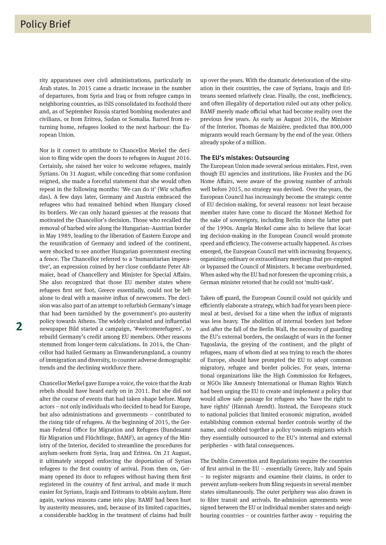rity apparatuses over civil administrations, particularly in Arab states. In 2015 came a drastic increase in the number of departures, from Syria and Iraq or from refugee camps in neighboring countries, as ISIS consolidated its foothold there and, as of September Russia started bombing moderates and civilians, or from Eritrea, Sudan or Somalia. Barred from returning home, refugees looked to the next harbour: the European Union.

Nor is it correct to attribute to Chancellor Merkel the decision to fling wide open the doors to refugees in August 2016. Certainly, she raised her voice to welcome refugees, mainly Syrians. On 31 August, while conceding that some confusion reigned, she made a forceful statement that she would often repeat in the following months: 'We can do it' (Wir schaffen das). A few days later, Germany and Austria embraced the refugees who had remained behind when Hungary closed its borders. We can only hazard guesses at the reasons that motivated the Chancellor's decision. Those who recalled the removal of barbed wire along the Hungarian–Austrian border in May 1989, leading to the liberation of Eastern Europe and the reunification of Germany and indeed of the continent, were shocked to see another Hungarian government erecting a fence. The Chancellor referred to a 'humanitarian imperative', an expression coined by her close confidante Peter Altmaier, head of Chancellery and Minister for Special Affairs. She also recognized that those EU member states where refugees first set foot, Greece essentially, could not be left alone to deal with a massive influx of newcomers. The decision was also part of an attempt to refurbish Germany's image that had been tarnished by the government's pro-austerity policy towards Athens. The widely circulated and influential newspaper Bild started a campaign, '#welcomerefugees', to rebuild Germany's credit among EU members. Other reasons stemmed from longer-term calculations. In 2014, the Chancellor had hailed Germany as Einwanderungsland, a country of immigration and diversity, to counter adverse demographic trends and the declining workforce there.

Chancellor Merkel gave Europe a voice, the voice that the Arab rebels should have heard early on in 2011. But she did not alter the course of events that had taken shape before. Many actors – not only individuals who decided to head for Europe, but also administrations and governments – contributed to the rising tide of refugees. At the beginning of 2015, the German Federal Office for Migration and Refugees (Bundesamt für Migration und Flüchtlinge, BAMF), an agency of the Ministry of the Interior, decided to streamline the procedures for asylum-seekers from Syria, Iraq and Eritrea. On 21 August, it ultimately stopped enforcing the deportation of Syrian refugees to the first country of arrival. From then on, Germany opened its door to refugees without having them first registered in the country of first arrival, and made it much easier for Syrians, Iraqis and Eritreans to obtain asylum. Here again, various reasons came into play. BAMF had been hurt by austerity measures, and, because of its limited capacities, a considerable backlog in the treatment of claims had built up over the years. With the dramatic deterioration of the situation in their countries, the case of Syrians, Iraqis and Eritreans seemed relatively clear. Finally, the cost, inefficiency, and often illegality of deportation ruled out any other policy. BAMF merely made official what had become reality over the previous few years. As early as August 2016, the Minister of the Interior, Thomas de Maizière, predicted that 800,000 migrants would reach Germany by the end of the year. Others already spoke of a million.

#### **The EU's mistakes: Outsourcing**

The European Union made several serious mistakes. First, even though EU agencies and institutions, like Frontex and the DG Home Affairs, were aware of the growing number of arrivals well before 2015, no strategy was devised. Over the years, the European Council has increasingly become the strategic centre of EU decision-making, for several reasons: not least because member states have come to discard the Monnet Method for the sake of sovereignty, including Berlin since the latter part of the 1990s. Angela Merkel came also to believe that locating decision-making in the European Council would promote speed and efficiency. The converse actually happened. As crises emerged, the European Council met with increasing frequency, organizing ordinary or extraordinary meetings that pre-empted or bypassed the Council of Ministers. It became overburdened. When asked why the EU had not foreseen the upcoming crisis, a German minister retorted that he could not 'multi-task'.

Taken off guard, the European Council could not quickly and efficiently elaborate a strategy, which had for years been piecemeal at best, devised for a time when the influx of migrants was less heavy. The abolition of internal borders just before and after the fall of the Berlin Wall, the necessity of guarding the EU's external borders, the onslaught of wars in the former Yugoslavia, the greying of the continent, and the plight of refugees, many of whom died at sea trying to reach the shores of Europe, should have prompted the EU to adopt common migratory, refugee and border policies. For years, international organizations like the High Commission for Refugees, or NGOs like Amnesty International or Human Rights Watch had been urging the EU to create and implement a policy that would allow safe passage for refugees who 'have the right to have rights' (Hannah Arendt). Instead, the Europeans stuck to national policies that limited economic migration, avoided establishing common external border controls worthy of the name, and cobbled together a policy towards migrants which they essentially outsourced to the EU's internal and external peripheries – with fatal consequences.

The Dublin Convention and Regulations require the countries of first arrival in the EU – essentially Greece, Italy and Spain – to register migrants and examine their claims, in order to prevent asylum-seekers from filing requests in several member states simultaneously. The outer periphery was also drawn in to filter transit and arrivals. Re-admission agreements were signed between the EU or individual member states and neighbouring countries – or countries farther away – requiring the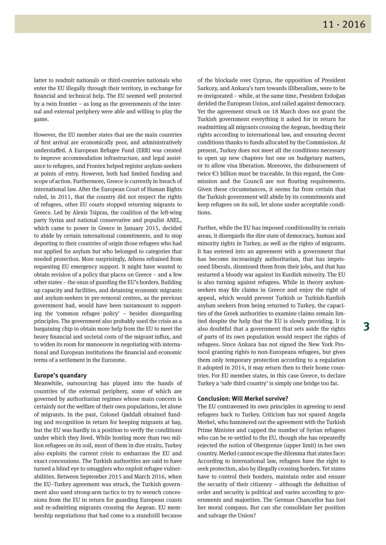latter to readmit nationals or third-countries nationals who enter the EU illegally through their territory, in exchange for financial and technical help. The EU seemed well protected by a twin frontier – as long as the governments of the internal and external periphery were able and willing to play the game.

However, the EU member states that are the main countries of first arrival are economically poor, and administratively understaffed. A European Refugee Fund (ERR) was created to improve accommodation infrastructure, and legal assistance to refugees, and Frontex helped register asylum-seekers at points of entry. However, both had limited funding and scope of action. Furthermore, Greece is currently in breach of international law. After the European Court of Human Rights ruled, in 2011, that the country did not respect the rights of refugees, other EU courts stopped returning migrants to Greece. Led by Alexis Tsipras, the coalition of the left-wing party Syriza and national conservative and populist ANEL, which came to power in Greece in January 2015, decided to abide by certain international commitments, and to stop deporting to their countries of origin those refugees who had not applied for asylum but who belonged to categories that needed protection. More surprisingly, Athens refrained from requesting EU emergency support. It might have wanted to obtain revision of a policy that places on Greece – and a few other states – the onus of guarding the EU's borders. Building up capacity and facilities, and detaining economic migrants and asylum-seekers in pre-removal centres, as the previous government had, would have been tantamount to supporting the 'common refugee policy' – besides disregarding principles. The government also probably used the crisis as a bargaining chip to obtain more help from the EU to meet the heavy financial and societal costs of the migrant influx, and to widen its room for manoeuvre in negotiating with international and European institutions the financial and economic terms of a settlement in the Eurozone.

#### **Europe's quandary**

Meanwhile, outsourcing has played into the hands of countries of the external periphery, some of which are governed by authoritarian regimes whose main concern is certainly not the welfare of their own populations, let alone of migrants. In the past, Colonel Qaddafi obtained funding and recognition in return for keeping migrants at bay, but the EU was hardly in a position to verify the conditions under which they lived. While hosting more than two million refugees on its soil, most of them in dire straits, Turkey also exploits the current crisis to embarrass the EU and exact concessions. The Turkish authorities are said to have turned a blind eye to smugglers who exploit refugee vulnerabilities. Between September 2015 and March 2016, when the EU–Turkey agreement was struck, the Turkish government also used strong-arm tactics to try to wrench concessions from the EU in return for guarding European coasts and re-admitting migrants crossing the Aegean. EU membership negotiations that had come to a standstill because

of the blockade over Cyprus, the opposition of President Sarkozy, and Ankara's turn towards illiberalism, were to be re-invigorated – while, at the same time, President Erdoğan derided the European Union, and railed against democracy. Yet the agreement struck on 18 March does not grant the Turkish government everything it asked for in return for readmitting all migrants crossing the Aegean, heeding their rights according to international law, and ensuring decent conditions thanks to funds allocated by the Commission. At present, Turkey does not meet all the conditions necessary to open up new chapters but one on budgetary matters, or to allow visa liberation. Moreover, the disbursement of twice €3 billion must be traceable. In this regard, the Commission and the Council are not flouting requirements. Given these circumstances, it seems far from certain that the Turkish government will abide by its commitments and keep refugees on its soil, let alone under acceptable conditions.

Further, while the EU has imposed conditionality in certain areas, it disregards the dire state of democracy, human and minority rights in Turkey, as well as the rights of migrants. It has entered into an agreement with a government that has become increasingly authoritarian, that has imprisoned liberals, dismissed them from their jobs, and that has restarted a bloody war against its Kurdish minority. The EU is also turning against refugees. While in theory asylumseekers may file claims in Greece and enjoy the right of appeal, which would prevent Turkish or Turkish-Kurdish asylum seekers from being returned to Turkey, the capacities of the Greek authorities to examine claims remain limited despite the help that the EU is slowly providing. It is also doubtful that a government that sets aside the rights of parts of its own population would respect the rights of refugees. Since Ankara has not signed the New York Protocol granting rights to non-Europeans refugees, but gives them only temporary protection according to a regulation it adopted in 2014, it may return then to their home countries. For EU member states, in this case Greece, to declare Turkey a 'safe third country' is simply one bridge too far.

#### **Conclusion: Will Merkel survive?**

The EU contravened its own principles in agreeing to send refugees back to Turkey. Criticism has not spared Angela Merkel, who hammered out the agreement with the Turkish Prime Minister and capped the number of Syrian refugees who can be re-settled to the EU, though she has repeatedly rejected the notion of Obergrenze (upper limit) in her own country. Merkel cannot escape the dilemma that states face: According to international law, refugees have the right to seek protection, also by illegally crossing borders. Yet states have to control their borders, maintain order and ensure the security of their citizenry – although the definition of order and security is political and varies according to governments and majorities. The German Chancellor has lost her moral compass. But can she consolidate her position and salvage the Union?